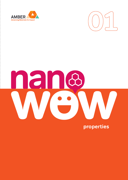



# nand  $\begin{array}{c} \bullet \\ \bullet \\ \bullet \end{array}$

properties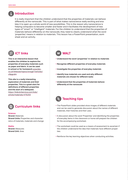

 It is really important that the children understand that the properties of materials can behave differently at the nanoscale. This is part of what makes nanoscience really exciting and enables it to open up a whole world of new possibilities. This is the reason why nanoscience is helping computers to become smaller and faster and it facilitates the development of new types of "smart" or "intelligent" materials. For the children to understand that the properties of materials behave differently on the nanoscale, they need to clearly understand what the word 'properties' means in relation to materials. This lesson has a PowerPoint presentation, worksheet and an activity.

# **ICT links**

**This is an interactive lesson that enables the children to explore the properties of everyday materials such as paper and fabric. It can be used in school or for homework** www.bbc. co.uk/bitesize/topics/zrssgk7/articles/ z9pgcdm

**This site is a really interesting exploration of materials and their properties. This is a great start for definitions of different properties and the start of a webquest.**  https://kids.britannica.com/kids/ article/materials/476293



#### **Science**

**Strand:** Materials **Strand Units: Properties and character**istics of materials, materials and change

#### **Maths**

**Strand:** Measures **Strand Unit:** Area

# **WALT**

- **Understand the word 'properties' in relation to materials**
- **Recognise different properties of everyday materials**
- **Investigate the properties of everyday materials**
- **Identify how materials are used and why different materials are chosen for different tasks**
- **Understand that the properties of materials behave differently at the nanoscale**

## **Teaching tips**

- The PowerPoint slides provided show images of different materials and can be used to generate discussion about the names of different materials, their histories and their uses.
- A discussion about the word 'Properties' and identifying the properties of everyday items in the classroom or home will prepare the children for the accompanying worksheet.
- The worksheet could be used as a means of assessment to ascertain if the children understand the idea that materials have different properties.
- Reinforce the key learning objectives when conducting activities.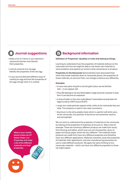# **Journal suggestions**

- Make a list of 4 items in your bedroom/ classroom/kitchen and identify their properties.
- Look at a picture of a raw egg. Identify the properties of the raw egg.
- In your journal describe different ways of cooking an egg and how the properties of the egg change when it is cooked.

**What is your mobile phone made out of? Watch Video 1 on Properties and make a list of the different materials and their properties.** 

## **Background information**

### **Definition of 'Properties': Qualities or traits that belong to things.**

Learning to understand how the properties of materials behave on the nanoscale and how we might be able to use these new materials to solve problems and explore our world is what nanoscience is all about.

**Properties on the Nanoscale** Nanoscientists have discovered that when they break materials down to nanoscale pieces, the properties of those materials, as we know them, can change or behave very differently.

#### **Examples**

- A nano size piece of gold is not the gold colour we are familiar with – it can appear red!
- Flour (for baking) is not very flammable in large amounts, however in dust form it can become an explosive!
- A drop of water on the nano scale (about 5 nanometres across) does not begin to boil at 100ºC but at 95.9ºC.
- Large zinc oxide particles appear white, while at the nanoscale they are clear. This property is used in new clear suncreams.
- Aluminum is the shiny pliable metal which is used for soft drink cans. At the nanoscale, tiny particles of aluminum are extremely reactive and will explode!

We can start to understand the properties of materials at the nanoscale by looking at the properties of materials all around us. Take a tree for example. There are numerous different products we make from wood, from flooring and tables, which have one set of properties, down to paper and tissue paper, which are very different. The materials these products are made from have very different properties and therefore have very different applications. Materials scientists study the properties of materials, their applications, and also manufacturing processes we use to make different products. We apply the same thinking to tiny nanoscale materials – which can have very different properties to those we might expect.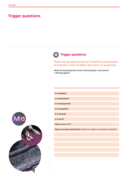## **Trigger questions**



# **Trigger questions**

These can be used during the PowerPoint presentation to promote a more in-depth discussion on properties.

**What are the properties of your school jumper/your pencil / a drinking glass?**

| Is it flexible?    |
|--------------------|
| Is it absorbent?   |
| Is it transparent? |
| Is it magnetic?    |
| Is it strong?      |
| Is it hard?        |
| What colour is it? |
|                    |

**Does it conduct electricity?** (Optional: Subject to materials available)